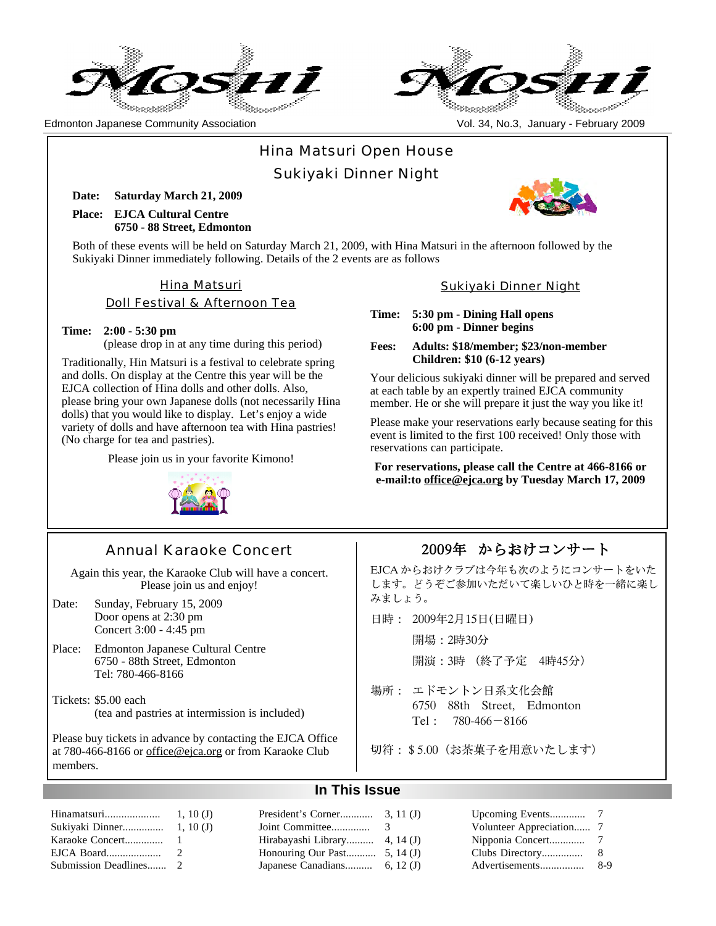



Edmonton Japanese Community Association Vol. 34, No.3, January - February 2009

# Hina Matsuri Open House

Sukiyaki Dinner Night

**Date: Saturday March 21, 2009 Place: EJCA Cultural Centre 6750 - 88 Street, Edmonton**

Both of these events will be held on Saturday March 21, 2009, with Hina Matsuri in the afternoon followed by the Sukiyaki Dinner immediately following. Details of the 2 events are as follows

## Hina Matsuri

Doll Festival & Afternoon Tea

#### **Time: 2:00 - 5:30 pm**

(please drop in at any time during this period)

Traditionally, Hin Matsuri is a festival to celebrate spring and dolls. On display at the Centre this year will be the EJCA collection of Hina dolls and other dolls. Also, please bring your own Japanese dolls (not necessarily Hina dolls) that you would like to display. Let's enjoy a wide variety of dolls and have afternoon tea with Hina pastries! (No charge for tea and pastries).

Please join us in your favorite Kimono!



#### Sukiyaki Dinner Night

**Time: 5:30 pm - Dining Hall opens 6:00 pm - Dinner begins**

**Fees: Adults: \$18/member; \$23/non-member Children: \$10 (6-12 years)**

Your delicious sukiyaki dinner will be prepared and served at each table by an expertly trained EJCA community member. He or she will prepare it just the way you like it!

Please make your reservations early because seating for this event is limited to the first 100 received! Only those with reservations can participate.

**For reservations, please call the Centre at 466-8166 or e-mail:to office@ejca.org by Tuesday March 17, 2009**

# Annual Karaoke Concert

Again this year, the Karaoke Club will have a concert. Please join us and enjoy!

Date: Sunday, February 15, 2009 Door opens at 2:30 pm Concert 3:00 - 4:45 pm

Place: Edmonton Japanese Cultural Centre 6750 - 88th Street, Edmonton Tel: 780-466-8166

Tickets: \$5.00 each (tea and pastries at intermission is included)

Please buy tickets in advance by contacting the EJCA Office at 780-466-8166 or office@ejca.org or from Karaoke Club members.

## 2009年 からおけコンサート

EJCA からおけクラブは今年も次のようにコンサートをいた します。どうぞご参加いただいて楽しいひと時を一緒に楽し みましょう。

日時: 2009年2月15日(日曜日)

開場:2時30分

開演:3時 (終了予定 4時45分)

- 場所: エドモントン日系文化会館 6750 88th Street, Edmonton Tel: 780-466-8166
- 切符:\$5.00(お茶菓子を用意いたします)

## **In This Issue**

|  | Hirabayashi Library 4, 14 (J)  |  |  |
|--|--------------------------------|--|--|
|  | Honouring Our Past $5, 14$ (J) |  |  |
|  |                                |  |  |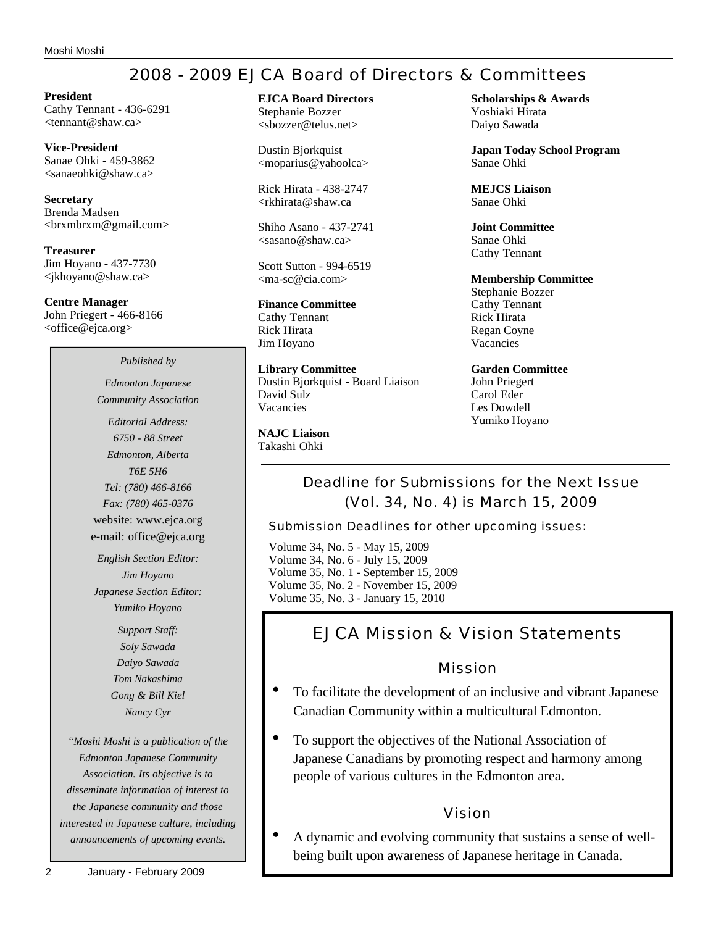# 2008 - 2009 EJCA Board of Directors & Committees

**President** Cathy Tennant - 436-6291 <tennant@shaw.ca>

**Vice-President** Sanae Ohki - 459-3862 <sanaeohki@shaw.ca>

**Secretary** Brenda Madsen <brxmbrxm@gmail.com>

**Treasurer** Jim Hoyano - 437-7730 <jkhoyano@shaw.ca>

**Centre Manager** John Priegert - 466-8166 <office@ejca.org>

#### *Published by*

*Edmonton Japanese Community Association*

*Editorial Address: 6750 - 88 Street Edmonton, Alberta T6E 5H6 Tel: (780) 466-8166 Fax: (780) 465-0376* website: www.ejca.org e-mail: office@ejca.org

*English Section Editor: Jim Hoyano Japanese Section Editor: Yumiko Hoyano*

> *Support Staff: Soly Sawada Daiyo Sawada Tom Nakashima Gong & Bill Kiel Nancy Cyr*

*"Moshi Moshi is a publication of the Edmonton Japanese Community Association. Its objective is to disseminate information of interest to the Japanese community and those interested in Japanese culture, including announcements of upcoming events.*

#### **EJCA Board Directors** Stephanie Bozzer

<sbozzer@telus.net>

Dustin Bjorkquist <moparius@yahoolca>

Rick Hirata - 438-2747 <rkhirata@shaw.ca

Shiho Asano - 437-2741  $<$ sasano@shaw.ca $>$ 

Scott Sutton - 994-6519 <ma-sc@cia.com>

# **Finance Committee**

Cathy Tennant Rick Hirata Jim Hoyano

**Library Committee** Dustin Bjorkquist - Board Liaison David Sulz Vacancies

**NAJC Liaison** Takashi Ohki

**Scholarships & Awards** Yoshiaki Hirata Daiyo Sawada

**Japan Today School Program** Sanae Ohki

**MEJCS Liaison** Sanae Ohki

**Joint Committee** Sanae Ohki Cathy Tennant

#### **Membership Committee** Stephanie Bozzer

Cathy Tennant Rick Hirata Regan Coyne Vacancies

**Garden Committee** John Priegert Carol Eder Les Dowdell Yumiko Hoyano

Deadline for Submissions for the Next Issue (Vol. 34, No. 4) is March 15, 2009

Submission Deadlines for other upcoming issues:

Volume 34, No. 5 - May 15, 2009 Volume 34, No. 6 - July 15, 2009 Volume 35, No. 1 - September 15, 2009 Volume 35, No. 2 - November 15, 2009 Volume 35, No. 3 - January 15, 2010

# EJCA Mission & Vision Statements

## Mission

- To facilitate the development of an inclusive and vibrant Japanese Canadian Community within a multicultural Edmonton.
- To support the objectives of the National Association of Japanese Canadians by promoting respect and harmony among people of various cultures in the Edmonton area.

## Vision

• A dynamic and evolving community that sustains a sense of wellbeing built upon awareness of Japanese heritage in Canada.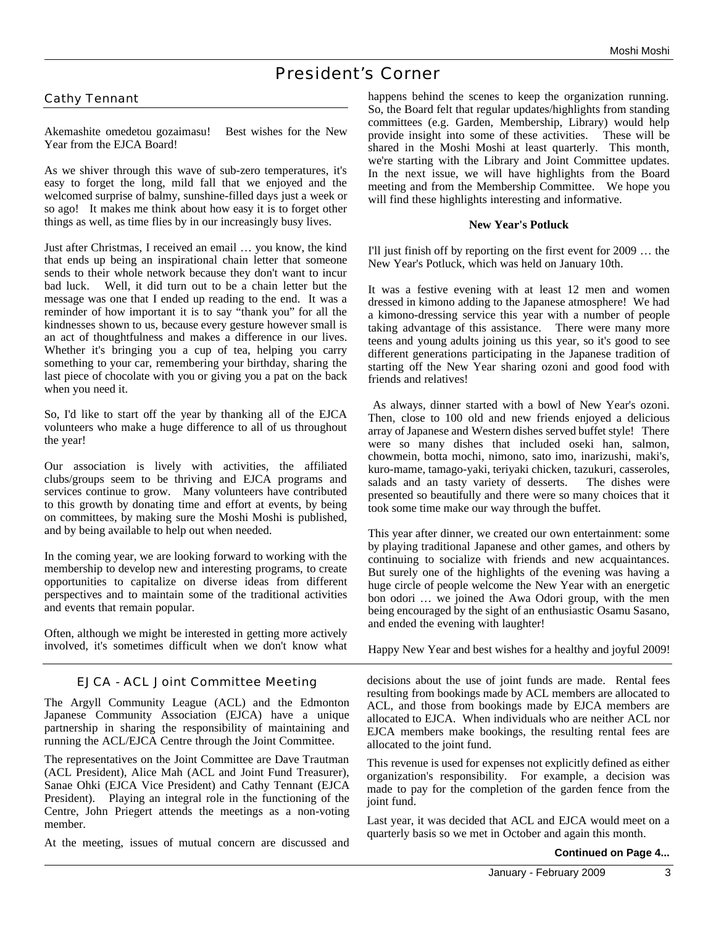# President's Corner

## Cathy Tennant

Akemashite omedetou gozaimasu! Best wishes for the New Year from the EJCA Board!

As we shiver through this wave of sub-zero temperatures, it's easy to forget the long, mild fall that we enjoyed and the welcomed surprise of balmy, sunshine-filled days just a week or so ago! It makes me think about how easy it is to forget other things as well, as time flies by in our increasingly busy lives.

Just after Christmas, I received an email … you know, the kind that ends up being an inspirational chain letter that someone sends to their whole network because they don't want to incur bad luck. Well, it did turn out to be a chain letter but the message was one that I ended up reading to the end. It was a reminder of how important it is to say "thank you" for all the kindnesses shown to us, because every gesture however small is an act of thoughtfulness and makes a difference in our lives. Whether it's bringing you a cup of tea, helping you carry something to your car, remembering your birthday, sharing the last piece of chocolate with you or giving you a pat on the back when you need it.

So, I'd like to start off the year by thanking all of the EJCA volunteers who make a huge difference to all of us throughout the year!

Our association is lively with activities, the affiliated clubs/groups seem to be thriving and EJCA programs and services continue to grow. Many volunteers have contributed to this growth by donating time and effort at events, by being on committees, by making sure the Moshi Moshi is published, and by being available to help out when needed.

In the coming year, we are looking forward to working with the membership to develop new and interesting programs, to create opportunities to capitalize on diverse ideas from different perspectives and to maintain some of the traditional activities and events that remain popular.

Often, although we might be interested in getting more actively involved, it's sometimes difficult when we don't know what

## EJCA - ACL Joint Committee Meeting

The Argyll Community League (ACL) and the Edmonton Japanese Community Association (EJCA) have a unique partnership in sharing the responsibility of maintaining and running the ACL/EJCA Centre through the Joint Committee.

The representatives on the Joint Committee are Dave Trautman (ACL President), Alice Mah (ACL and Joint Fund Treasurer), Sanae Ohki (EJCA Vice President) and Cathy Tennant (EJCA President). Playing an integral role in the functioning of the Centre, John Priegert attends the meetings as a non-voting member.

At the meeting, issues of mutual concern are discussed and

happens behind the scenes to keep the organization running. So, the Board felt that regular updates/highlights from standing committees (e.g. Garden, Membership, Library) would help provide insight into some of these activities. These will be shared in the Moshi Moshi at least quarterly. This month, we're starting with the Library and Joint Committee updates. In the next issue, we will have highlights from the Board meeting and from the Membership Committee. We hope you will find these highlights interesting and informative.

#### **New Year's Potluck**

I'll just finish off by reporting on the first event for 2009 … the New Year's Potluck, which was held on January 10th.

It was a festive evening with at least 12 men and women dressed in kimono adding to the Japanese atmosphere! We had a kimono-dressing service this year with a number of people taking advantage of this assistance. There were many more teens and young adults joining us this year, so it's good to see different generations participating in the Japanese tradition of starting off the New Year sharing ozoni and good food with friends and relatives!

As always, dinner started with a bowl of New Year's ozoni. Then, close to 100 old and new friends enjoyed a delicious array of Japanese and Western dishes served buffet style! There were so many dishes that included oseki han, salmon, chowmein, botta mochi, nimono, sato imo, inarizushi, maki's, kuro-mame, tamago-yaki, teriyaki chicken, tazukuri, casseroles, salads and an tasty variety of desserts. The dishes were presented so beautifully and there were so many choices that it took some time make our way through the buffet.

This year after dinner, we created our own entertainment: some by playing traditional Japanese and other games, and others by continuing to socialize with friends and new acquaintances. But surely one of the highlights of the evening was having a huge circle of people welcome the New Year with an energetic bon odori … we joined the Awa Odori group, with the men being encouraged by the sight of an enthusiastic Osamu Sasano, and ended the evening with laughter!

Happy New Year and best wishes for a healthy and joyful 2009!

decisions about the use of joint funds are made. Rental fees resulting from bookings made by ACL members are allocated to ACL, and those from bookings made by EJCA members are allocated to EJCA. When individuals who are neither ACL nor EJCA members make bookings, the resulting rental fees are allocated to the joint fund.

This revenue is used for expenses not explicitly defined as either organization's responsibility. For example, a decision was made to pay for the completion of the garden fence from the joint fund.

Last year, it was decided that ACL and EJCA would meet on a quarterly basis so we met in October and again this month.

#### **Continued on Page 4...**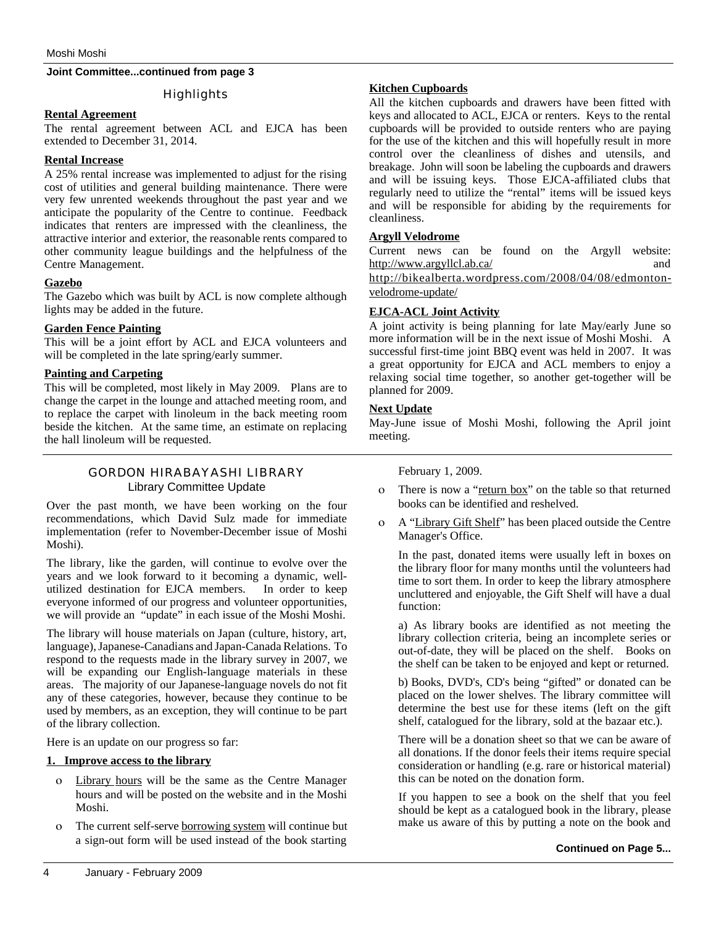#### **Joint Committee...continued from page 3**

#### **Highlights**

#### **Rental Agreement**

The rental agreement between ACL and EJCA has been extended to December 31, 2014.

#### **Rental Increase**

A 25% rental increase was implemented to adjust for the rising cost of utilities and general building maintenance. There were very few unrented weekends throughout the past year and we anticipate the popularity of the Centre to continue. Feedback indicates that renters are impressed with the cleanliness, the attractive interior and exterior, the reasonable rents compared to other community league buildings and the helpfulness of the Centre Management.

#### **Gazebo**

The Gazebo which was built by ACL is now complete although lights may be added in the future.

#### **Garden Fence Painting**

This will be a joint effort by ACL and EJCA volunteers and will be completed in the late spring/early summer.

#### **Painting and Carpeting**

This will be completed, most likely in May 2009. Plans are to change the carpet in the lounge and attached meeting room, and to replace the carpet with linoleum in the back meeting room beside the kitchen. At the same time, an estimate on replacing the hall linoleum will be requested.

## GORDON HIRABAYASHI LIBRARY Library Committee Update

Over the past month, we have been working on the four recommendations, which David Sulz made for immediate implementation (refer to November-December issue of Moshi Moshi).

The library, like the garden, will continue to evolve over the years and we look forward to it becoming a dynamic, wellutilized destination for EJCA members. In order to keep everyone informed of our progress and volunteer opportunities, we will provide an "update" in each issue of the Moshi Moshi.

The library will house materials on Japan (culture, history, art, language), Japanese-Canadians and Japan-Canada Relations. To respond to the requests made in the library survey in 2007, we will be expanding our English-language materials in these areas. The majority of our Japanese-language novels do not fit any of these categories, however, because they continue to be used by members, as an exception, they will continue to be part of the library collection.

Here is an update on our progress so far:

#### **1. Improve access to the library**

- ο Library hours will be the same as the Centre Manager hours and will be posted on the website and in the Moshi Moshi.
- ο The current self-serve borrowing system will continue but a sign-out form will be used instead of the book starting

#### **Kitchen Cupboards**

All the kitchen cupboards and drawers have been fitted with keys and allocated to ACL, EJCA or renters. Keys to the rental cupboards will be provided to outside renters who are paying for the use of the kitchen and this will hopefully result in more control over the cleanliness of dishes and utensils, and breakage. John will soon be labeling the cupboards and drawers and will be issuing keys. Those EJCA-affiliated clubs that regularly need to utilize the "rental" items will be issued keys and will be responsible for abiding by the requirements for cleanliness.

#### **Argyll Velodrome**

Current news can be found on the Argyll website: http://www.argyllcl.ab.ca/ and http://bikealberta.wordpress.com/2008/04/08/edmontonvelodrome-update/

#### **EJCA-ACL Joint Activity**

A joint activity is being planning for late May/early June so more information will be in the next issue of Moshi Moshi. A successful first-time joint BBQ event was held in 2007. It was a great opportunity for EJCA and ACL members to enjoy a relaxing social time together, so another get-together will be planned for 2009.

#### **Next Update**

May-June issue of Moshi Moshi, following the April joint meeting.

February 1, 2009.

- ο There is now a "return box" on the table so that returned books can be identified and reshelved.
- ο A "Library Gift Shelf" has been placed outside the Centre Manager's Office.

In the past, donated items were usually left in boxes on the library floor for many months until the volunteers had time to sort them. In order to keep the library atmosphere uncluttered and enjoyable, the Gift Shelf will have a dual function:

a) As library books are identified as not meeting the library collection criteria, being an incomplete series or out-of-date, they will be placed on the shelf. Books on the shelf can be taken to be enjoyed and kept or returned.

b) Books, DVD's, CD's being "gifted" or donated can be placed on the lower shelves. The library committee will determine the best use for these items (left on the gift shelf, catalogued for the library, sold at the bazaar etc.).

There will be a donation sheet so that we can be aware of all donations. If the donor feels their items require special consideration or handling (e.g. rare or historical material) this can be noted on the donation form.

If you happen to see a book on the shelf that you feel should be kept as a catalogued book in the library, please make us aware of this by putting a note on the book and

#### **Continued on Page 5...**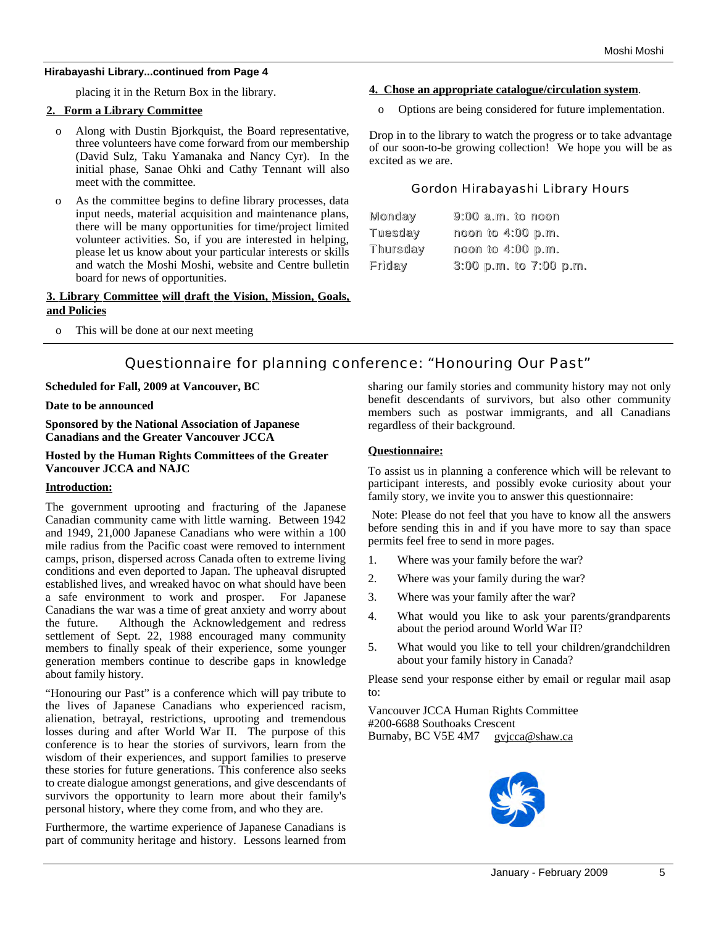#### **Hirabayashi Library...continued from Page 4**

placing it in the Return Box in the library.

#### **2. Form a Library Committee**

- o Along with Dustin Bjorkquist, the Board representative, three volunteers have come forward from our membership (David Sulz, Taku Yamanaka and Nancy Cyr). In the initial phase, Sanae Ohki and Cathy Tennant will also meet with the committee.
- o As the committee begins to define library processes, data input needs, material acquisition and maintenance plans, there will be many opportunities for time/project limited volunteer activities. So, if you are interested in helping, please let us know about your particular interests or skills and watch the Moshi Moshi, website and Centre bulletin board for news of opportunities.

#### **3. Library Committee will draft the Vision, Mission, Goals, and Policies**

o This will be done at our next meeting

#### **4. Chose an appropriate catalogue/circulation system**.

o Options are being considered for future implementation.

Drop in to the library to watch the progress or to take advantage of our soon-to-be growing collection! We hope you will be as excited as we are.

#### Gordon Hirabayashi Library Hours

| Monday         | $9:00$ a.m. to noon        |
|----------------|----------------------------|
| <b>Tuesday</b> | noon to 4:00 p.m.          |
| Thursday       | noon to 4:00 p.m.          |
| Friday         | $3:00$ p.m. to $7:00$ p.m. |

## Questionnaire for planning conference: "Honouring Our Past"

## **Scheduled for Fall, 2009 at Vancouver, BC**

**Date to be announced**

**Sponsored by the National Association of Japanese Canadians and the Greater Vancouver JCCA**

**Hosted by the Human Rights Committees of the Greater Vancouver JCCA and NAJC**

#### **Introduction:**

The government uprooting and fracturing of the Japanese Canadian community came with little warning. Between 1942 and 1949, 21,000 Japanese Canadians who were within a 100 mile radius from the Pacific coast were removed to internment camps, prison, dispersed across Canada often to extreme living conditions and even deported to Japan. The upheaval disrupted established lives, and wreaked havoc on what should have been a safe environment to work and prosper. For Japanese Canadians the war was a time of great anxiety and worry about the future. Although the Acknowledgement and redress settlement of Sept. 22, 1988 encouraged many community members to finally speak of their experience, some younger generation members continue to describe gaps in knowledge about family history.

"Honouring our Past" is a conference which will pay tribute to the lives of Japanese Canadians who experienced racism, alienation, betrayal, restrictions, uprooting and tremendous losses during and after World War II. The purpose of this conference is to hear the stories of survivors, learn from the wisdom of their experiences, and support families to preserve these stories for future generations. This conference also seeks to create dialogue amongst generations, and give descendants of survivors the opportunity to learn more about their family's personal history, where they come from, and who they are.

Furthermore, the wartime experience of Japanese Canadians is part of community heritage and history. Lessons learned from sharing our family stories and community history may not only benefit descendants of survivors, but also other community members such as postwar immigrants, and all Canadians regardless of their background.

## **Questionnaire:**

To assist us in planning a conference which will be relevant to participant interests, and possibly evoke curiosity about your family story, we invite you to answer this questionnaire:

Note: Please do not feel that you have to know all the answers before sending this in and if you have more to say than space permits feel free to send in more pages.

- 1. Where was your family before the war?
- 2. Where was your family during the war?
- 3. Where was your family after the war?
- 4. What would you like to ask your parents/grandparents about the period around World War II?
- 5. What would you like to tell your children/grandchildren about your family history in Canada?

Please send your response either by email or regular mail asap to:

Vancouver JCCA Human Rights Committee #200-6688 Southoaks Crescent Burnaby, BC V5E 4M7 gvjcca@shaw.ca

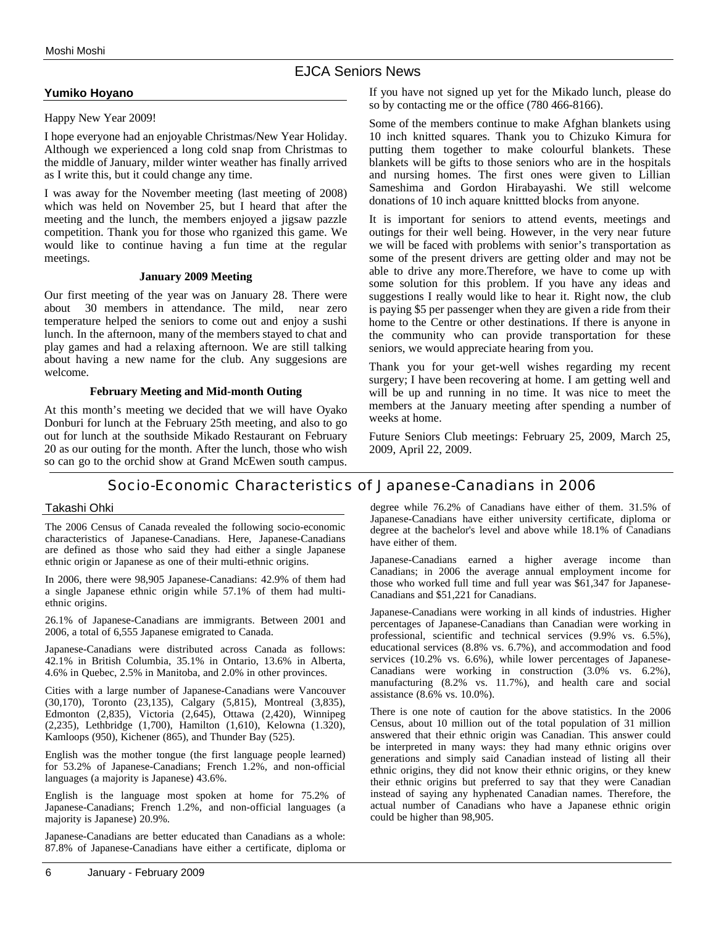## EJCA Seniors News

#### **Yumiko Hoyano**

#### Happy New Year 2009!

I hope everyone had an enjoyable Christmas/New Year Holiday. Although we experienced a long cold snap from Christmas to the middle of January, milder winter weather has finally arrived as I write this, but it could change any time.

I was away for the November meeting (last meeting of 2008) which was held on November 25, but I heard that after the meeting and the lunch, the members enjoyed a jigsaw pazzle competition. Thank you for those who rganized this game. We would like to continue having a fun time at the regular meetings.

#### **January 2009 Meeting**

Our first meeting of the year was on January 28. There were about 30 members in attendance. The mild, near zero temperature helped the seniors to come out and enjoy a sushi lunch. In the afternoon, many of the members stayed to chat and play games and had a relaxing afternoon. We are still talking about having a new name for the club. Any suggesions are welcome.

#### **February Meeting and Mid-month Outing**

At this month's meeting we decided that we will have Oyako Donburi for lunch at the February 25th meeting, and also to go out for lunch at the southside Mikado Restaurant on February 20 as our outing for the month. After the lunch, those who wish so can go to the orchid show at Grand McEwen south campus.

If you have not signed up yet for the Mikado lunch, please do so by contacting me or the office (780 466-8166).

Some of the members continue to make Afghan blankets using 10 inch knitted squares. Thank you to Chizuko Kimura for putting them together to make colourful blankets. These blankets will be gifts to those seniors who are in the hospitals and nursing homes. The first ones were given to Lillian Sameshima and Gordon Hirabayashi. We still welcome donations of 10 inch aquare knittted blocks from anyone.

It is important for seniors to attend events, meetings and outings for their well being. However, in the very near future we will be faced with problems with senior's transportation as some of the present drivers are getting older and may not be able to drive any more.Therefore, we have to come up with some solution for this problem. If you have any ideas and suggestions I really would like to hear it. Right now, the club is paying \$5 per passenger when they are given a ride from their home to the Centre or other destinations. If there is anyone in the community who can provide transportation for these seniors, we would appreciate hearing from you.

Thank you for your get-well wishes regarding my recent surgery; I have been recovering at home. I am getting well and will be up and running in no time. It was nice to meet the members at the January meeting after spending a number of weeks at home.

Future Seniors Club meetings: February 25, 2009, March 25, 2009, April 22, 2009.

## Socio-Economic Characteristics of Japanese-Canadians in 2006

#### Takashi Ohki

The 2006 Census of Canada revealed the following socio-economic characteristics of Japanese-Canadians. Here, Japanese-Canadians are defined as those who said they had either a single Japanese ethnic origin or Japanese as one of their multi-ethnic origins.

In 2006, there were 98,905 Japanese-Canadians: 42.9% of them had a single Japanese ethnic origin while 57.1% of them had multiethnic origins.

26.1% of Japanese-Canadians are immigrants. Between 2001 and 2006, a total of 6,555 Japanese emigrated to Canada.

Japanese-Canadians were distributed across Canada as follows: 42.1% in British Columbia, 35.1% in Ontario, 13.6% in Alberta, 4.6% in Quebec, 2.5% in Manitoba, and 2.0% in other provinces.

Cities with a large number of Japanese-Canadians were Vancouver (30,170), Toronto (23,135), Calgary (5,815), Montreal (3,835), Edmonton (2,835), Victoria (2,645), Ottawa (2,420), Winnipeg (2,235), Lethbridge (1,700), Hamilton (1,610), Kelowna (1.320), Kamloops (950), Kichener (865), and Thunder Bay (525).

English was the mother tongue (the first language people learned) for 53.2% of Japanese-Canadians; French 1.2%, and non-official languages (a majority is Japanese) 43.6%.

English is the language most spoken at home for 75.2% of Japanese-Canadians; French 1.2%, and non-official languages (a majority is Japanese) 20.9%.

Japanese-Canadians are better educated than Canadians as a whole: 87.8% of Japanese-Canadians have either a certificate, diploma or degree while 76.2% of Canadians have either of them. 31.5% of Japanese-Canadians have either university certificate, diploma or degree at the bachelor's level and above while 18.1% of Canadians have either of them.

Japanese-Canadians earned a higher average income than Canadians; in 2006 the average annual employment income for those who worked full time and full year was \$61,347 for Japanese-Canadians and \$51,221 for Canadians.

Japanese-Canadians were working in all kinds of industries. Higher percentages of Japanese-Canadians than Canadian were working in professional, scientific and technical services (9.9% vs. 6.5%), educational services (8.8% vs. 6.7%), and accommodation and food services (10.2% vs. 6.6%), while lower percentages of Japanese-Canadians were working in construction (3.0% vs. 6.2%), manufacturing (8.2% vs. 11.7%), and health care and social assistance (8.6% vs. 10.0%).

There is one note of caution for the above statistics. In the 2006 Census, about 10 million out of the total population of 31 million answered that their ethnic origin was Canadian. This answer could be interpreted in many ways: they had many ethnic origins over generations and simply said Canadian instead of listing all their ethnic origins, they did not know their ethnic origins, or they knew their ethnic origins but preferred to say that they were Canadian instead of saying any hyphenated Canadian names. Therefore, the actual number of Canadians who have a Japanese ethnic origin could be higher than 98,905.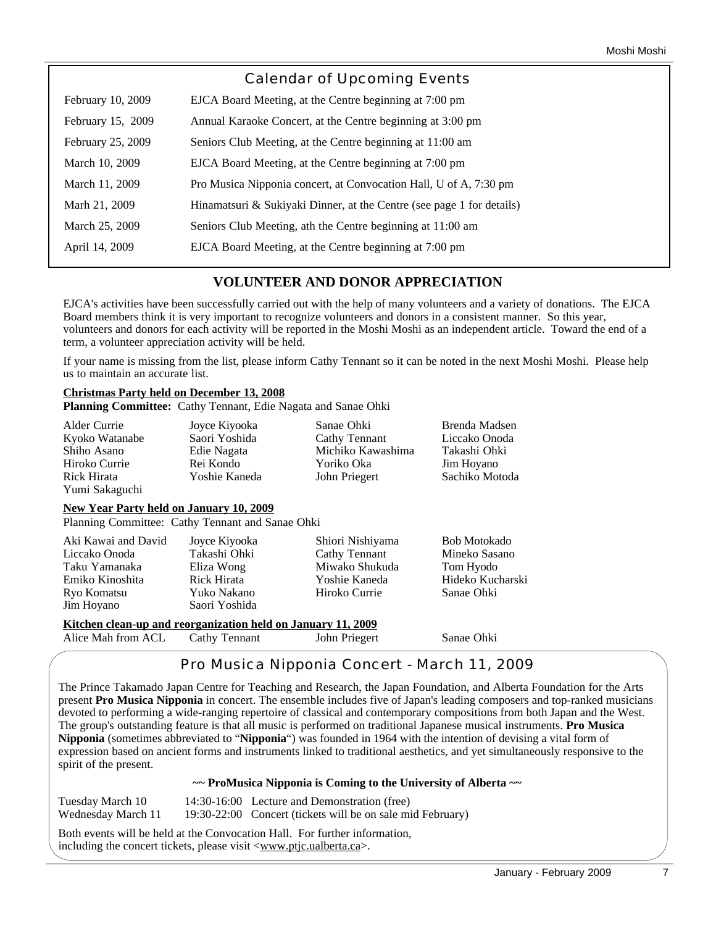|                   | Calendar of Upcoming Events                                           |
|-------------------|-----------------------------------------------------------------------|
| February 10, 2009 | EJCA Board Meeting, at the Centre beginning at 7:00 pm                |
| February 15, 2009 | Annual Karaoke Concert, at the Centre beginning at 3:00 pm            |
| February 25, 2009 | Seniors Club Meeting, at the Centre beginning at 11:00 am             |
| March 10, 2009    | EJCA Board Meeting, at the Centre beginning at 7:00 pm                |
| March 11, 2009    | Pro Musica Nipponia concert, at Convocation Hall, U of A, 7:30 pm     |
| Marh 21, 2009     | Hinamatsuri & Sukiyaki Dinner, at the Centre (see page 1 for details) |
| March 25, 2009    | Seniors Club Meeting, ath the Centre beginning at 11:00 am            |
| April 14, 2009    | EJCA Board Meeting, at the Centre beginning at 7:00 pm                |
|                   |                                                                       |

## **VOLUNTEER AND DONOR APPRECIATION**

EJCA's activities have been successfully carried out with the help of many volunteers and a variety of donations. The EJCA Board members think it is very important to recognize volunteers and donors in a consistent manner. So this year, volunteers and donors for each activity will be reported in the Moshi Moshi as an independent article. Toward the end of a term, a volunteer appreciation activity will be held.

If your name is missing from the list, please inform Cathy Tennant so it can be noted in the next Moshi Moshi. Please help us to maintain an accurate list.

## **Christmas Party held on December 13, 2008**

**Planning Committee:** Cathy Tennant, Edie Nagata and Sanae Ohki

| Alder Currie   | Joyce Kiyooka | Sanae Ohki        | Brenda Madsen  |
|----------------|---------------|-------------------|----------------|
| Kyoko Watanabe | Saori Yoshida | Cathy Tennant     | Liccako Onoda  |
| Shiho Asano    | Edie Nagata   | Michiko Kawashima | Takashi Ohki   |
| Hiroko Currie  | Rei Kondo     | Yoriko Oka        | Jim Hoyano     |
| Rick Hirata    | Yoshie Kaneda | John Priegert     | Sachiko Motoda |
| Yumi Sakaguchi |               |                   |                |

#### **New Year Party held on January 10, 2009**

Planning Committee: Cathy Tennant and Sanae Ohki

| Aki Kawai and David                                          | Joyce Kiyooka | Shiori Nishiyama | <b>Bob Motokado</b> |  |  |
|--------------------------------------------------------------|---------------|------------------|---------------------|--|--|
| Liccako Onoda                                                | Takashi Ohki  | Cathy Tennant    | Mineko Sasano       |  |  |
| Taku Yamanaka                                                | Eliza Wong    | Miwako Shukuda   | Tom Hyodo           |  |  |
| Emiko Kinoshita                                              | Rick Hirata   | Yoshie Kaneda    | Hideko Kucharski    |  |  |
| Ryo Komatsu                                                  | Yuko Nakano   | Hiroko Currie    | Sanae Ohki          |  |  |
| Jim Hoyano                                                   | Saori Yoshida |                  |                     |  |  |
| Kitchen clean-up and reorganization held on January 11, 2009 |               |                  |                     |  |  |
| Alice Mah from ACL                                           | Cathy Tennant | John Priegert    | Sanae Ohki          |  |  |

# Pro Musica Nipponia Concert - March 11, 2009

The Prince Takamado Japan Centre for Teaching and Research, the Japan Foundation, and Alberta Foundation for the Arts present **Pro Musica Nipponia** in concert. The ensemble includes five of Japan's leading composers and top-ranked musicians devoted to performing a wide-ranging repertoire of classical and contemporary compositions from both Japan and the West. The group's outstanding feature is that all music is performed on traditional Japanese musical instruments. **Pro Musica Nipponia** (sometimes abbreviated to "**Nipponia**") was founded in 1964 with the intention of devising a vital form of expression based on ancient forms and instruments linked to traditional aesthetics, and yet simultaneously responsive to the spirit of the present.

#### **~~ ProMusica Nipponia is Coming to the University of Alberta ~~**

Tuesday March 10 14:30-16:00 Lecture and Demonstration (free) Wednesday March 11 19:30-22:00 Concert (tickets will be on sale mid February)

Both events will be held at the Convocation Hall. For further information, including the concert tickets, please visit <www.ptjc.ualberta.ca>.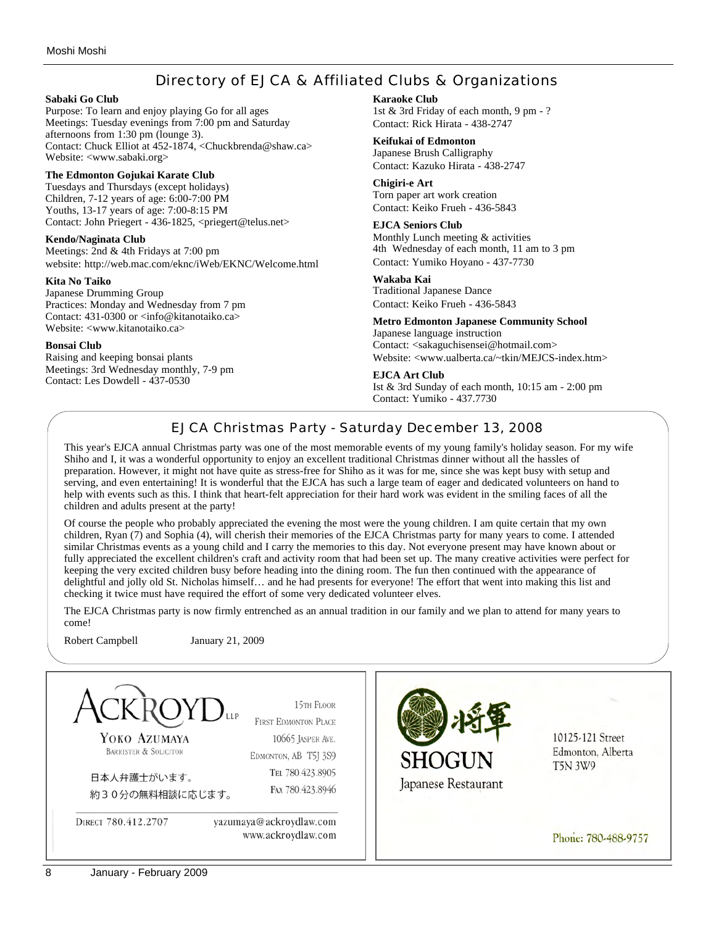# Directory of EJCA & Affiliated Clubs & Organizations

#### **Sabaki Go Club**

Purpose: To learn and enjoy playing Go for all ages Meetings: Tuesday evenings from 7:00 pm and Saturday afternoons from 1:30 pm (lounge 3). Contact: Chuck Elliot at 452-1874, <Chuckbrenda@shaw.ca> Website: <www.sabaki.org>

#### **The Edmonton Gojukai Karate Club**

Tuesdays and Thursdays (except holidays) Children, 7-12 years of age: 6:00-7:00 PM Youths, 13-17 years of age: 7:00-8:15 PM Contact: John Priegert - 436-1825, <priegert@telus.net>

#### **Kendo/Naginata Club**

Meetings: 2nd & 4th Fridays at 7:00 pm website: http://web.mac.com/eknc/iWeb/EKNC/Welcome.html

#### **Kita No Taiko**

Japanese Drumming Group Practices: Monday and Wednesday from 7 pm Contact: 431-0300 or <info@kitanotaiko.ca> Website: <www.kitanotaiko.ca>

#### **Bonsai Club**

Raising and keeping bonsai plants Meetings: 3rd Wednesday monthly, 7-9 pm Contact: Les Dowdell - 437-0530

#### **Karaoke Club**

1st & 3rd Friday of each month, 9 pm - ? Contact: Rick Hirata - 438-2747

#### **Keifukai of Edmonton**

Japanese Brush Calligraphy Contact: Kazuko Hirata - 438-2747

#### **Chigiri-e Art**

Torn paper art work creation Contact: Keiko Frueh - 436-5843

#### **EJCA Seniors Club**

Monthly Lunch meeting & activities 4th Wednesday of each month, 11 am to 3 pm Contact: Yumiko Hoyano - 437-7730

#### **Wakaba Kai**

Traditional Japanese Dance Contact: Keiko Frueh - 436-5843

#### **Metro Edmonton Japanese Community School**

Japanese language instruction Contact: <sakaguchisensei@hotmail.com> Website: <www.ualberta.ca/~tkin/MEJCS-index.htm>

#### **EJCA Art Club**

Ist & 3rd Sunday of each month, 10:15 am - 2:00 pm Contact: Yumiko - 437.7730

# EJCA Christmas Party - Saturday December 13, 2008

This year's EJCA annual Christmas party was one of the most memorable events of my young family's holiday season. For my wife Shiho and I, it was a wonderful opportunity to enjoy an excellent traditional Christmas dinner without all the hassles of preparation. However, it might not have quite as stress-free for Shiho as it was for me, since she was kept busy with setup and serving, and even entertaining! It is wonderful that the EJCA has such a large team of eager and dedicated volunteers on hand to help with events such as this. I think that heart-felt appreciation for their hard work was evident in the smiling faces of all the children and adults present at the party!

Of course the people who probably appreciated the evening the most were the young children. I am quite certain that my own children, Ryan (7) and Sophia (4), will cherish their memories of the EJCA Christmas party for many years to come. I attended similar Christmas events as a young child and I carry the memories to this day. Not everyone present may have known about or fully appreciated the excellent children's craft and activity room that had been set up. The many creative activities were perfect for keeping the very excited children busy before heading into the dining room. The fun then continued with the appearance of delightful and jolly old St. Nicholas himself… and he had presents for everyone! The effort that went into making this list and checking it twice must have required the effort of some very dedicated volunteer elves.

The EJCA Christmas party is now firmly entrenched as an annual tradition in our family and we plan to attend for many years to come!

Robert Campbell January 21, 2009

15TH FLOOR **FIRST EDMONTON PLACE** 10125-121 Street YOKO AZUMAYA 10665 JASPER AVE. BARRISTER & SOLICITOR Edmonton, Alberta EDMONTON, AB T5J 3S9 **T5N 3W9** TEL 780.423.8905 日本人弁護士がいます。 Japanese Restaurant FAX 780.423.8946 約30分の無料相談に応じます。 DIRECT 780.412.2707 yazumaya@ackroydlaw.com www.ackroydlaw.com Phone: 780-488-9757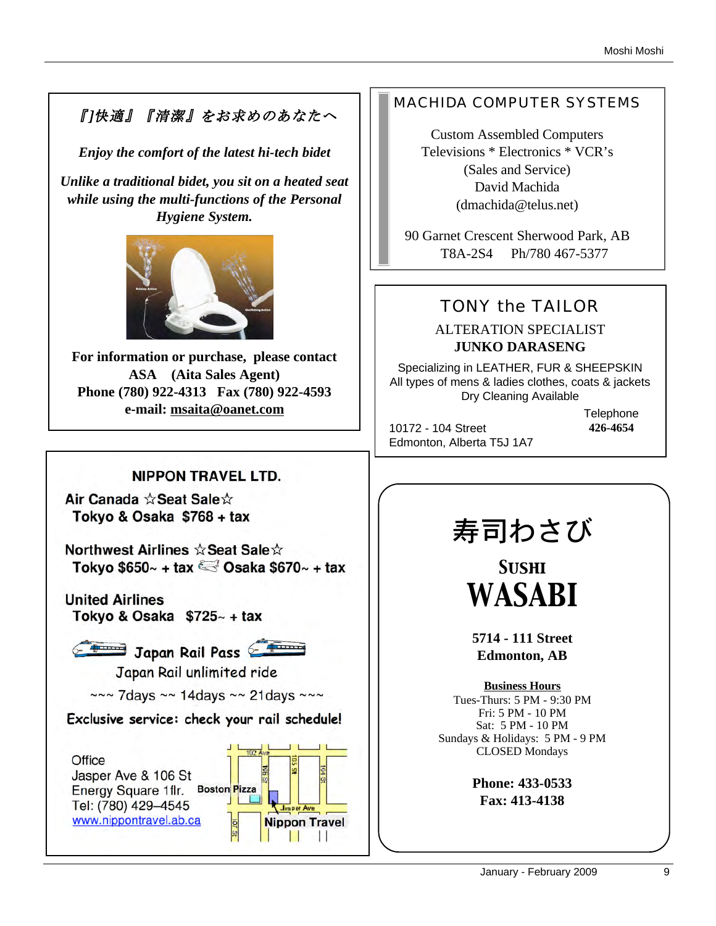# 『]快適』『清潔』をお求めのあなたへ

*Enjoy the comfort of the latest hi-tech bidet*

*Unlike a traditional bidet, you sit on a heated seat while using the multi-functions of the Personal Hygiene System.* 



**For information or purchase, please contact ASA (Aita Sales Agent) Phone (780) 922-4313 Fax (780) 922-4593 e-mail: msaita@oanet.com**

# **NIPPON TRAVEL LTD.**

Air Canada ☆Seat Sale☆ Tokyo & Osaka \$768 + tax

Northwest Airlines ☆ Seat Sale☆ Tokyo \$650 $\sim$  + tax  $\approx$  Osaka \$670 $\sim$  + tax

**United Airlines** Tokyo & Osaka  $$725~+$  tax



Japan Rail Pass

Japan Rail unlimited ride

 $\sim$ ~ 7days ~~ 14days ~~ 21days ~~~

Exclusive service: check your rail schedule!



# MACHIDA COMPUTER SYSTEMS

Custom Assembled Computers Televisions \* Electronics \* VCR's (Sales and Service) David Machida (dmachida@telus.net)

90 Garnet Crescent Sherwood Park, AB T8A-2S4 Ph/780 467-5377

# TONY the TAILOR

# ALTERATION SPECIALIST **JUNKO DARASENG**

Specializing in LEATHER, FUR & SHEEPSKIN All types of mens & ladies clothes, coats & jackets Dry Cleaning Available

10172 - 104 Street Edmonton, Alberta T5J 1A7 **Telephone 426-4654**

# 寿司わさび

*Sushi WASABI*

**5714 - 111 Street Edmonton, AB**

**Business Hours** Tues-Thurs: 5 PM - 9:30 PM Fri: 5 PM - 10 PM Sat: 5 PM - 10 PM Sundays & Holidays: 5 PM - 9 PM CLOSED Mondays

> **Phone: 433-0533 Fax: 413-4138**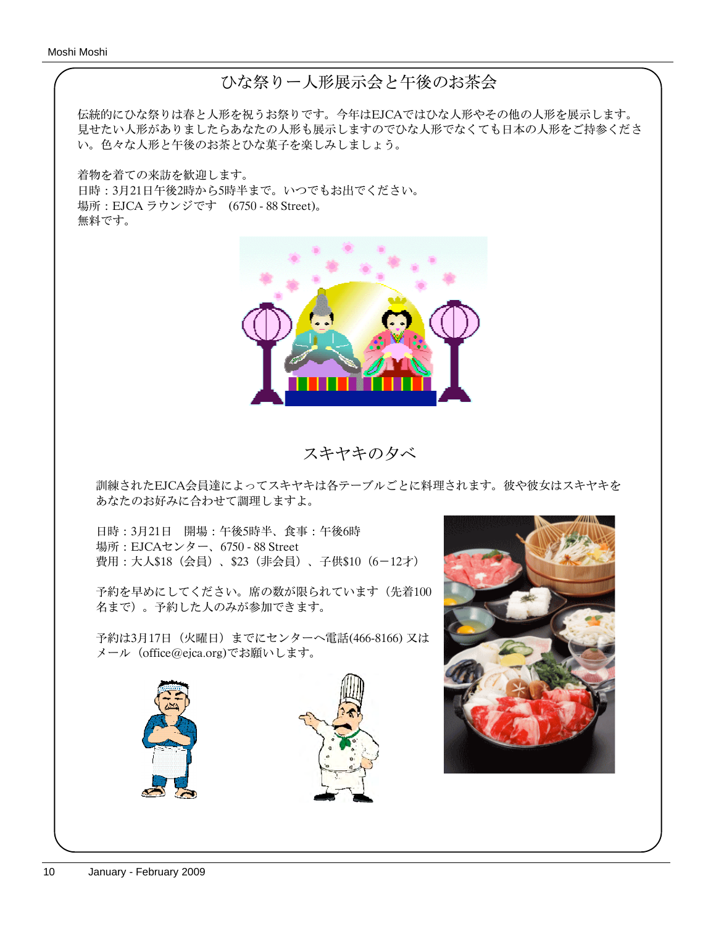# ひな祭りー人形展示会と午後のお茶会

伝統的にひな祭りは春と人形を祝うお祭りです。今年はEJCAではひな人形やその他の人形を展示します。 見せたい人形がありましたらあなたの人形も展示しますのでひな人形でなくても日本の人形をご持参くださ い。色々な人形と午後のお茶とひな菓子を楽しみしましょう。

着物を着ての来訪を歓迎します。 日時:3月21日午後2時から5時半まで。いつでもお出でください。 場所:EJCA ラウンジです (6750 - 88 Street)。 無料です。



スキヤキの夕べ

訓練されたEJCA会員達によってスキヤキは各テーブルごとに料理されます。彼や彼女はスキヤキを あなたのお好みに合わせて調理しますよ。

日時:3月21日 開場:午後5時半、食事:午後6時 場所:EJCAセンター、6750 - 88 Street 費用:大人\$18(会員)、\$23(非会員)、子供\$10(6-12才)

予約を早めにしてください。席の数が限られています(先着100 名まで)。予約した人のみが参加できます。

予約は3月17日(火曜日)までにセンターへ電話(466-8166) 又は メール(office@ejca.org)でお願いします。



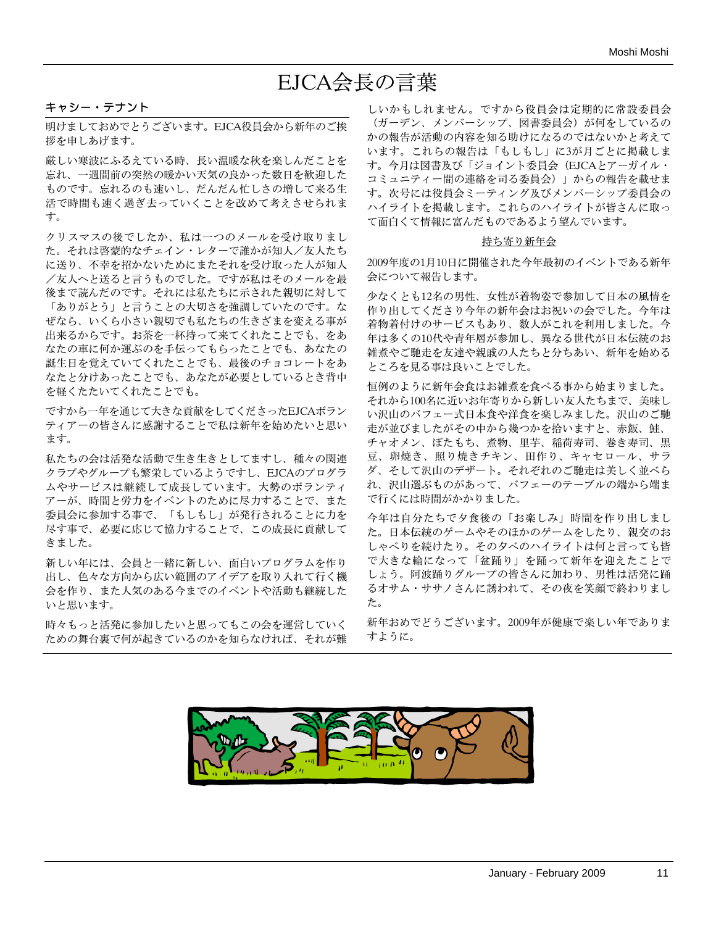# EJCA会長の言葉

#### キャシー・テナント

明けましておめでとうございます。EJCA役員会から新年のご挨 拶を申しあげます。

厳しい寒波にふるえている時、長い温暖な秋を楽しんだことを 忘れ、一週間前の突然の暖かい天気の良かった数日を歓迎した ものです。忘れるのも速いし、だんだん忙しさの増して来る生 活で時間も速く過ぎ去っていくことを改めて考えさせられま す。

クリスマスの後でしたか、私は一つのメールを受け取りまし た。それは啓蒙的なチェイン・レターで誰かが知人/友人たち に送り、不幸を招かないためにまたそれを受け取った人が知人 /友人へと送ると言うものでした。ですが私はそのメールを最 後まで読んだのです。それには私たちに示された親切に対して 「ありがとう」と言うことの大切さを強調していたのです。な ぜなら、いくら小さい親切でも私たちの生きざまを変える事が 出来るからです。お茶を一杯持って来てくれたことでも、をあ なたの車に何か運ぶのを手伝ってもらったことでも、あなたの 誕生日を覚えていてくれたことでも、最後のチョコレートをあ なたと分けあったことでも、あなたが必要としているとき背中 を軽くたたいてくれたことでも。

ですから一年を通じて大きな貢献をしてくださったEJCAボラン ティアーの皆さんに感謝することで私は新年を始めたいと思い ます。

私たちの会は活発な活動で生き生きとしてますし、種々の関連 クラブやグループも繁栄しているようですし、EJCAのプログラ ムやサービスは継続して成長しています。大勢のボランティ アーが、時間と労力をイベントのために尽力することで、また 委員会に参加する事で、「もしもし」が発行されることに力を 尽す事で、必要に応じて協力することで、この成長に貢献して きました。

新しい年には、会員と一緒に新しい、面白いプログラムを作り 出し、色々な方向から広い範囲のアイデアを取り入れて行く機 会を作り、また人気のある今までのイベントや活動も継続した いと思います。

時々もっと活発に参加したいと思ってもこの会を運営していく ための舞台裏で何が起きているのかを知らなければ、それが難

しいかもしれません。ですから役員会は定期的に常設委員会 (ガーデン、メンバーシップ、図書委員会)が何をしているの かの報告が活動の内容を知る助けになるのではないかと考えて います。これらの報告は「もしもし」に3が月ごとに掲載しま す。今月は図書及び「ジョイント委員会(EJCAとアーガイル・ コミュニティー間の連絡を司る委員会)」からの報告を載せま す。次号には役員会ミーティング及びメンバーシップ委員会の ハイライトを掲載します。これらのハイライトが皆さんに取っ て面白くて情報に富んだものであるよう望んでいます。

#### 持ち寄り新年会

2009年度の1月10日に開催された今年最初のイベントである新年 会について報告します。

少なくとも12名の男性、女性が着物姿で参加して日本の風情を 作り出してくださり今年の新年会はお祝いの会でした。今年は 着物着付けのサービスもあり、数人がこれを利用しました。今 年は多くの10代や青年層が参加し、異なる世代が日本伝統のお 雑煮やご馳走を友達や親戚の人たちと分ちあい、新年を始める ところを見る事は良いことでした。

恒例のように新年会食はお雑煮を食べる事から始まりました。 それから100名に近いお年寄りから新しい友人たちまで、美味し い沢山のバフェー式日本食や洋食を楽しみました。沢山のご馳 走が並びましたがその中から幾つかを拾いますと、赤飯、鮭、 チャオメン、ぼたもち、煮物、里芋、稲荷寿司、巻き寿司、黒 豆、卵焼き、照り焼きチキン、田作り、キャセロール、サラ ダ、そして沢山のデザート。それぞれのご馳走は美しく並べら れ、沢山選ぶものがあって、バフェーのテーブルの端から端ま で行くには時間がかかりました。

今年は自分たちで夕食後の「お楽しみ」時間を作り出しまし た。日本伝統のゲームやそのほかのゲームをしたり、親交のお しゃべりを続けたり。その夕べのハイライトは何と言っても皆 で大きな輪になって「盆踊り」を踊って新年を迎えたことで しょう。阿波踊りグループの皆さんに加わり、男性は活発に踊 るオサム・ササノさんに誘われて、その夜を笑顔で終わりまし た。

新年おめでどうございます。2009年が健康で楽しい年でありま すように。

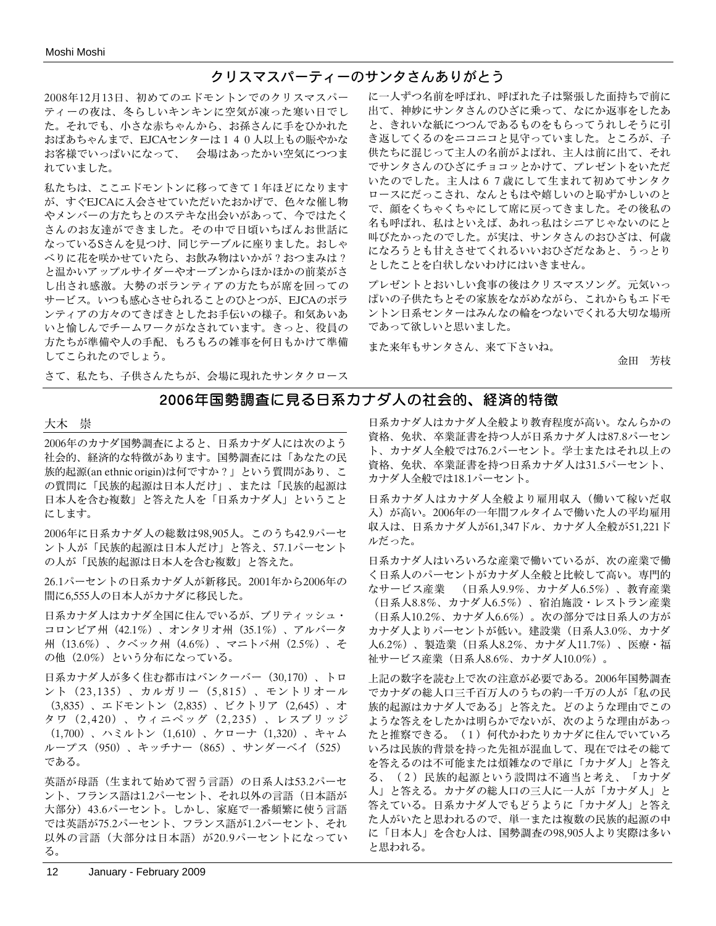## クリスマスパーティーのサンタさんありがとう

2008年12月13日、初めてのエドモントンでのクリスマスパー ティーの夜は、冬らしいキンキンに空気が凍った寒い日でし た。それでも、小さな赤ちゃんから、お孫さんに手をひかれた おばあちゃんまで、EJCAセンターは140人以上もの賑やかな お客様でいっぱいになって、 会場はあったかい空気につつま れていました。

私たちは、ここエドモントンに移ってきて1年ほどになります が、すぐEJCAに入会させていただいたおかげで、色々な催し物 やメンバーの方たちとのステキな出会いがあって、今ではたく さんのお友達ができました。その中で日頃いちばんお世話に なっているSさんを見つけ、同じテーブルに座りました。おしゃ べりに花を咲かせていたら、お飲み物はいかが?おつまみは? と温かいアップルサイダーやオーブンからほかほかの前菜がさ し出され感激。大勢のボランティアの方たちが席を回っての サービス。いつも感心させられることのひとつが、EJCAのボラ ンティアの方々のてきぱきとしたお手伝いの様子。和気あいあ いと愉しんでチームワークがなされています。きっと、役員の 方たちが準備や人の手配、もろもろの雑事を何日もかけて準備 してこられたのでしょう。

に一人ずつ名前を呼ばれ、呼ばれた子は緊張した面持ちで前に 出て、神妙にサンタさんのひざに乗って、なにか返事をしたあ と、きれいな紙につつんであるものをもらってうれしそうに引 き返してくるのをニコニコと見守っていました。ところが、子 供たちに混じって主人の名前がよばれ、主人は前に出て、それ でサンタさんのひざにチョコッとかけて、プレゼントをいただ いたのでした。主人は67歳にして生まれて初めてサンタク ロースにだっこされ、なんともはや嬉しいのと恥ずかしいのと で、顔をくちゃくちゃにして席に戻ってきました。その後私の 名も呼ばれ、私はといえば、あれっ私はシニアじゃないのにと 叫びたかったのでした。が実は、サンタさんのおひざは、何歳 になろうとも甘えさせてくれるいいおひざだなあと、うっとり としたことを白状しないわけにはいきません。

プレゼントとおいしい食事の後はクリスマスソング。元気いっ ぱいの子供たちとその家族をながめながら、これからもエドモ ントン日系センターはみんなの輪をつないでくれる大切な場所 であって欲しいと思いました。

また来年もサンタさん、来て下さいね。

金田 芳枝

さて、私たち、子供さんたちが、会場に現れたサンタクロース

## 2006年国勢調査に見る日系カナダ人の社会的、経済的特徴

#### 大木 崇

2006年のカナダ国勢調査によると、日系カナダ人には次のよう 社会的、経済的な特徴があります。国勢調査には「あなたの民 族的起源(an ethnic origin)は何ですか?」という質問があり、こ の質問に「民族的起源は日本人だけ」、または「民族的起源は 日本人を含む複数」と答えた人を「日系カナダ人」ということ にします。

2006年に日系カナダ人の総数は98,905人。このうち42.9パーセ ント人が「民族的起源は日本人だけ」と答え、57.1パーセント の人が「民族的起源は日本人を含む複数」と答えた。

26.1パーセントの日系カナダ人が新移民。2001年から2006年の 間に6,555人の日本人がカナダに移民した。

日系カナダ人はカナダ全国に住んでいるが、ブリティッシュ・ コロンビア州(42.1%)、オンタリオ州(35.1%)、アルバータ 州(13.6%)、クベック州(4.6%)、マニトバ州(2.5%)、そ の他(2.0%)という分布になっている。

日系カナダ人が多く住む都市はバンクーバー(30,170)、トロ ント(23,135)、カルガリー(5,815)、モントリオール (3,835)、エドモントン(2,835)、ビクトリア(2,645)、オ タワ(2,420)、ウィニペッグ(2,235)、レスブリッジ (1,700)、ハミルトン(1,610)、ケローナ(1,320)、キャム ループス(950)、キッチナー(865)、サンダーベイ(525) である。

英語が母語(生まれて始めて習う言語)の日系人は53.2パーセ ント、フランス語は1.2パーセント、それ以外の言語(日本語が 大部分)43.6パーセント。しかし、家庭で一番頻繁に使う言語 では英語が75.2パーセント、フランス語が1.2パーセント、それ 以外の言語(大部分は日本語)が20.9パーセントになってい る。

日系カナダ人はカナダ人全般より教育程度が高い。なんらかの 資格、免状、卒業証書を持つ人が日系カナダ人は87.8パーセン ト、カナダ人全般では76.2パーセント。学士またはそれ以上の 資格、免状、卒業証書を持つ日系カナダ人は31.5パーセント、 カナダ人全般では18.1パーセント。

日系カナダ人はカナダ人全般より雇用収入(働いて稼いだ収 入)が高い。2006年の一年間フルタイムで働いた人の平均雇用 収入は、日系カナダ人が61,347ドル、カナダ人全般が51,221ド ルだった。

日系カナダ人はいろいろな産業で働いているが、次の産業で働 く日系人のパーセントがカナダ人全般と比較して高い。専門的 なサービス産業 (日系人9.9%、カナダ人6.5%)、教育産業 (日系人8.8%、カナダ人6.5%)、宿泊施設・レストラン産業 (日系人10.2%、カナダ人6.6%)。次の部分では日系人の方が カナダ人よりパーセントが低い。建設業(日系人3.0%、カナダ 人6.2%)、製造業(日系人8.2%、カナダ人11.7%)、医療・福 祉サービス産業(日系人8.6%、カナダ人10.0%)。

上記の数字を読む上で次の注意が必要である。2006年国勢調査 でカナダの総人口三千百万人のうちの約一千万の人が「私の民 族的起源はカナダ人である」と答えた。どのような理由でこの ような答えをしたかは明らかでないが、次のような理由があっ たと推察できる。(1)何代かわたりカナダに住んでいていろ いろは民族的背景を持った先祖が混血して、現在ではその総て を答えるのは不可能または煩雑なので単に「カナダ人」と答え る、(2)民族的起源という設問は不適当と考え、「カナダ 人」と答える。カナダの総人口の三人に一人が「カナダ人」と 答えている。日系カナダ人でもどうように「カナダ人」と答え た人がいたと思われるので、単一または複数の民族的起源の中 に「日本人」を含む人は、国勢調査の98,905人より実際は多い と思われる。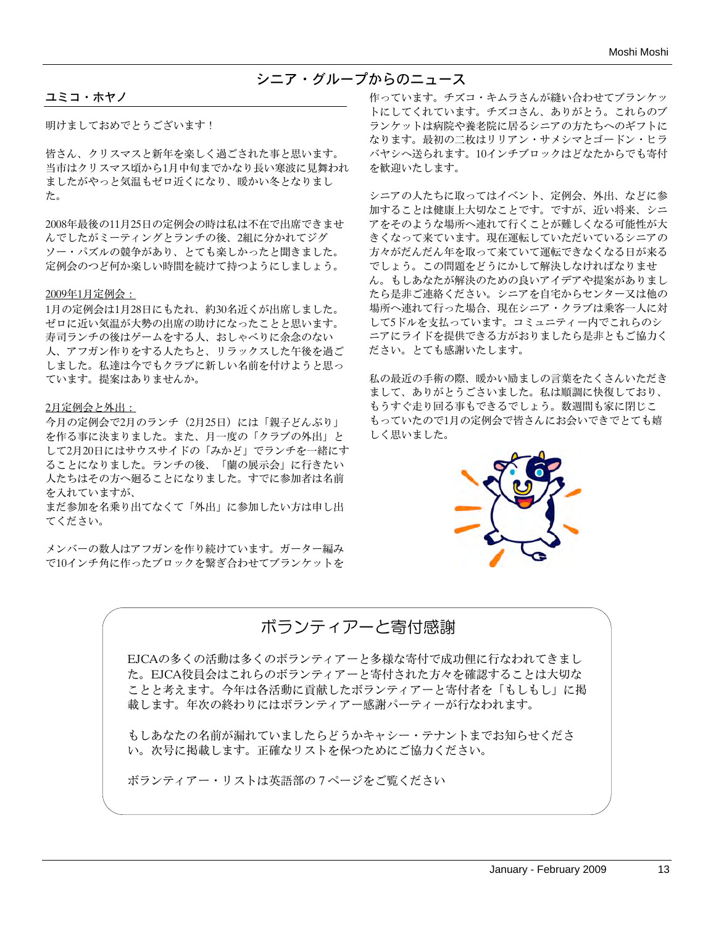## シニア・グループからのニュース

#### ユミコ・ホヤノ

明けましておめでとうございます!

皆さん、クリスマスと新年を楽しく過ごされた事と思います。 当市はクリスマス頃から1月中旬までかなり長い寒波に見舞われ ましたがやっと気温もゼロ近くになり、暖かい冬となりまし た。

2008年最後の11月25日の定例会の時は私は不在で出席できませ んでしたがミーティングとランチの後、2組に分かれてジグ ソー・パズルの競争があり、とても楽しかったと聞きました。 定例会のつど何か楽しい時間を続けて持つようにしましょう。

#### 2009年1月定例会:

1月の定例会は1月28日にもたれ、約30名近くが出席しました。 ゼロに近い気温が大勢の出席の助けになったことと思います。 寿司ランチの後はゲームをする人、おしゃべりに余念のない 人、アフガン作りをする人たちと、リラックスした午後を過ご しました。私達は今でもクラブに新しい名前を付けようと思っ ています。提案はありませんか。

#### 2月定例会と外出:

今月の定例会で2月のランチ(2月25日)には「親子どんぶり」 を作る事に決まりました。また、月一度の「クラブの外出」と して2月20日にはサウスサイドの「みかど」でランチを一緒にす ることになりました。ランチの後、「蘭の展示会」に行きたい 人たちはその方へ廻ることになりました。すでに参加者は名前 を入れていますが、

まだ参加を名乗り出てなくて「外出」に参加したい方は申し出 てください。

メンバーの数人はアフガンを作り続けています。ガーター編み で10インチ角に作ったブロックを繋ぎ合わせてブランケットを

作っています。チズコ・キムラさんが縫い合わせてブランケッ トにしてくれています。チズコさん、ありがとう。これらのブ ランケットは病院や養老院に居るシニアの方たちへのギフトに なります。最初の二枚はリリアン・サメシマとゴードン・ヒラ バヤシへ送られます。10インチブロックはどなたからでも寄付 を歓迎いたします。

シニアの人たちに取ってはイベント、定例会、外出、などに参 加することは健康上大切なことです。ですが、近い将来、シニ アをそのような場所へ連れて行くことが難しくなる可能性が大 きくなって来ています。現在運転していただいているシニアの 方々がだんだん年を取って来ていて運転できなくなる日が来る でしょう。この問題をどうにかして解決しなければなりませ ん。もしあなたが解決のための良いアイデアや提案がありまし たら是非ご連絡ください。シニアを自宅からセンター又は他の 場所へ連れて行った場合、現在シニア・クラブは乗客一人に対 して5ドルを支払っています。コミュニティー内でこれらのシ ニアにライドを提供できる方がおりましたら是非ともご協力く ださい。とても感謝いたします。

私の最近の手術の際、暖かい励ましの言葉をたくさんいただき まして、ありがとうごさいました。私は順調に快復しており、 もうすぐ走り回る事もできるでしょう。数週間も家に閉じこ もっていたので1月の定例会で皆さんにお会いできでとても嬉 しく思いました。



# ボランティアーと寄付感謝

EJCAの多くの活動は多くのボランティアーと多様な寄付で成功俚に行なわれてきまし た。EJCA役員会はこれらのボランティアーと寄付された方々を確認することは大切な ことと考えます。今年は各活動に貢献したボランティアーと寄付者を「もしもし」に掲 載します。年次の終わりにはボランティアー感謝パーティーが行なわれます。

もしあなたの名前が漏れていましたらどうかキャシー・テナントまでお知らせくださ い。次号に掲載します。正確なリストを保つためにご協力ください。

ボランティアー・リストは英語部の7ページをご覧ください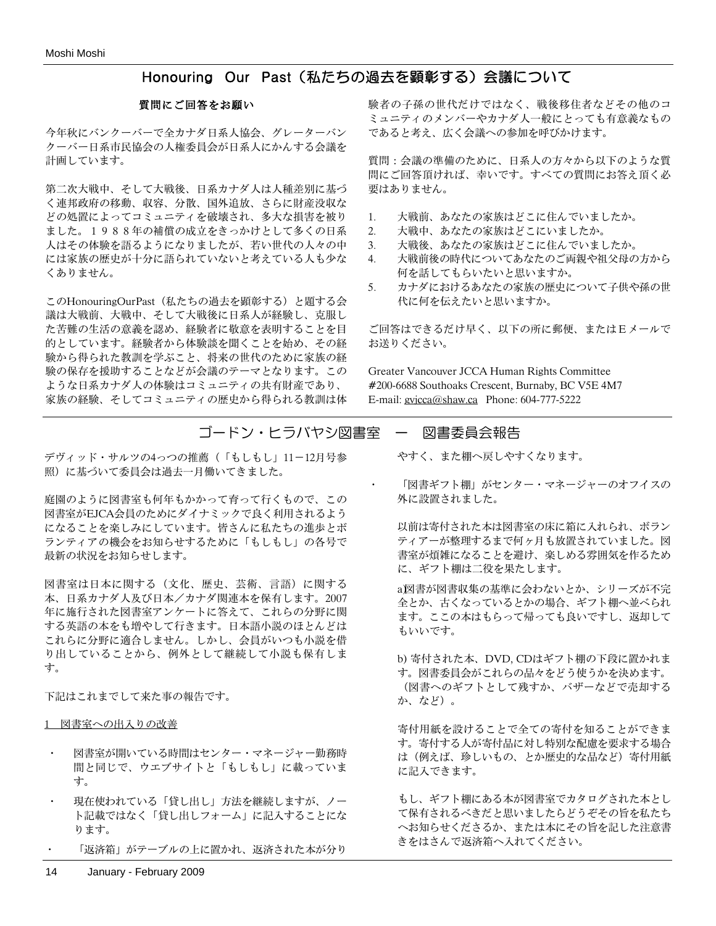## Honouring Our Past(私たちの過去を顕彰する)会議について

#### 質問にご回答をお願い

今年秋にバンクーバーで全カナダ日系人協会、グレーターバン クーバー日系市民協会の人権委員会が日系人にかんする会議を 計画しています。

第二次大戦中、そして大戦後、日系カナダ人は人種差別に基づ く連邦政府の移動、収容、分散、国外追放、さらに財産没収な どの処置によってコミュニティを破壊され、多大な損害を被り ました。1988年の補償の成立をきっかけとして多くの日系 人はその体験を語るようになりましたが、若い世代の人々の中 には家族の歴史が十分に語られていないと考えている人も少な くありません。

このHonouringOurPast(私たちの過去を顕彰する)と題する会 議は大戦前、大戦中、そして大戦後に日系人が経験し、克服し た苦難の生活の意義を認め、経験者に敬意を表明することを目 的としています。経験者から体験談を聞くことを始め、その経 験から得られた教訓を学ぶこと、将来の世代のために家族の経 験の保存を援助することなどが会議のテーマとなります。この ような日系カナダ人の体験はコミュニティの共有財産であり、 家族の経験、そしてコミュニティの歴史から得られる教訓は体

験者の子孫の世代だけではなく、戦後移住者などその他のコ ミュニティのメンバーやカナダ人一般にとっても有意義なもの であると考え、広く会議への参加を呼びかけます。

質問:会議の準備のために、日系人の方々から以下のような質 問にご回答頂ければ、幸いです。すべての質問にお答え頂く必 要はありません。

- 1. 大戦前、あなたの家族はどこに住んでいましたか。
- 2. 大戦中、あなたの家族はどこにいましたか。
- 3. 大戦後、あなたの家族はどこに住んでいましたか。
- 4. 大戦前後の時代についてあなたのご両親や祖父母の方から 何を話してもらいたいと思いますか。
- 5. カナダにおけるあなたの家族の歴史について子供や孫の世 代に何を伝えたいと思いますか。

ご回答はできるだけ早く、以下の所に郵便、またはEメールで お送りください。

Greater Vancouver JCCA Human Rights Committee #200-6688 Southoaks Crescent, Burnaby, BC V5E 4M7 E-mail: gvjcca@shaw.ca Phone: 604-777-5222

## ゴードン・ヒラバヤシ図書室 ー 図書委員会報告

デヴィッド・サルツの4っつの推薦(「もしもし」11-12月号参 照)に基づいて委員会は過去一月働いてきました。

庭園のように図書室も何年もかかって育って行くもので、この 図書室がEJCA会員のためにダイナミックで良く利用されるよう になることを楽しみにしています。皆さんに私たちの進歩とボ ランティアの機会をお知らせするために「もしもし」の各号で 最新の状況をお知らせします。

図書室は日本に関する(文化、歴史、芸術、言語)に関する 本、日系カナダ人及び日本/カナダ関連本を保有します。2007 年に施行された図書室アンケートに答えて、これらの分野に関 する英語の本をも増やして行きます。日本語小説のほとんどは これらに分野に適合しません。しかし、会員がいつも小説を借 り出していることから、例外として継続して小説も保有しま す。

下記はこれまでして来た事の報告です。

1 図書室への出入りの改善

- 図書室が開いている時間はセンター・マネージャー勤務時 間と同じで、ウエブサイトと「もしもし」に載っていま す。
- 現在使われている「貸し出し」方法を継続しますが、ノー ト記載ではなく「貸し出しフォーム」に記入することにな ります。
- 「返済箱」がテーブルの上に置かれ、返済された本が分り

- やすく、また棚へ戻しやすくなります。
- 「図書ギフト棚」がセンター・マネージャーのオフイスの 外に設置されました。

以前は寄付された本は図書室の床に箱に入れられ、ボラン ティアーが整理するまで何ヶ月も放置されていました。図 書室が煩雑になることを避け、楽しめる雰囲気を作るため に、ギフト棚は二役を果たします。

a図書が図書収集の基準に会わないとか、シリーズが不完 全とか、古くなっているとかの場合、ギフト棚へ並べられ ます。ここの本はもらって帰っても良いですし、返却して もいいです。

b) 寄付された本、DVD, CDはギフト棚の下段に置かれま す。図書委員会がこれらの品々をどう使うかを決めます。 (図書へのギフトとして残すか、バザーなどで売却する か、など)。

寄付用紙を設けることで全ての寄付を知ることができま す。寄付する人が寄付品に対し特別な配慮を要求する場合 は(例えば、珍しいもの、とか歴史的な品など)寄付用紙 に記入できます。

もし、ギフト棚にある本が図書室でカタログされた本とし て保有されるべきだと思いましたらどうぞその旨を私たち へお知らせくださるか、または本にその旨を記した注意書 きをはさんで返済箱へ入れてください。

14 January - February 2009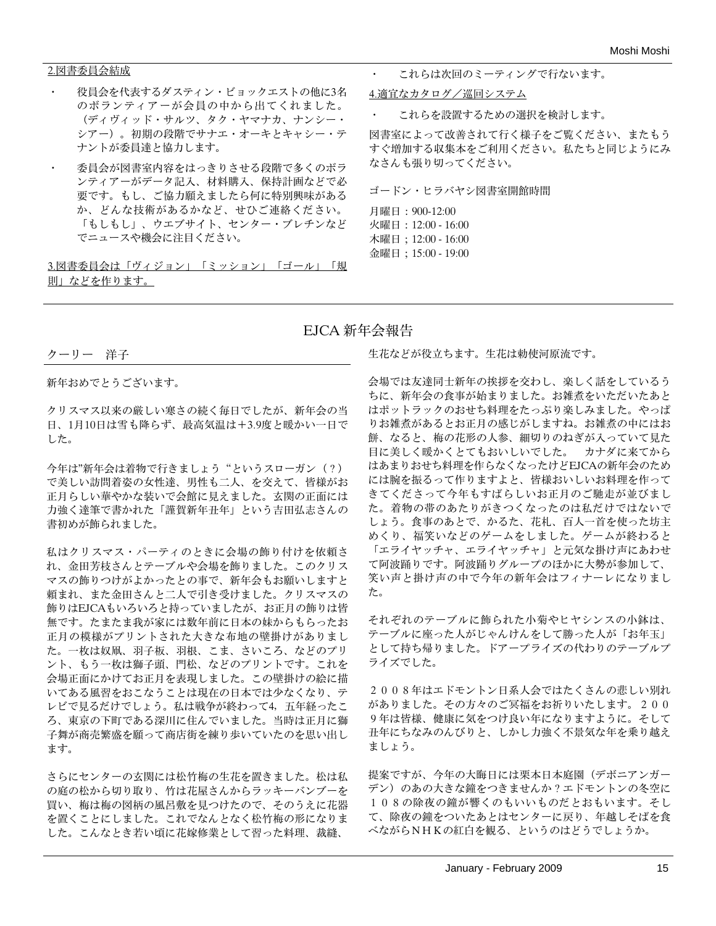#### 2.図書委員会結成

- 役員会を代表するダスティン・ビョックエストの他に3名 のボランティアーが会員の中から出てくれました。 (ディヴィッド・サルツ、タク・ヤマナカ、ナンシー・ シアー)。初期の段階でサナエ・オーキとキャシー・テ ナントが委員達と協力します。
- ・ 委員会が図書室内容をはっきりさせる段階で多くのボラ ンティアーがデータ記入、材料購入、保持計画などで必 要です。もし、ご協力願えましたら何に特別興味がある か、どんな技術があるかなど、せひご連絡ください。 「もしもし」、ウエブサイト、センター・ブレチンなど でニュースや機会に注目ください。

3.図書委員会は「ヴィジョン」「ミッション」「ゴール」「規 則」などを作ります。

これらは次回のミーティングで行ないます。

4.適宜なカタログ/巡回システム

・ これらを設置するための選択を検討します。

図書室によって改善されて行く様子をご覧ください、またもう すぐ増加する収集本をご利用ください。私たちと同じようにみ なさんも張り切ってください。

ゴードン・ヒラバヤシ図書室開館時間

月曜日:900-12:00 火曜日:12:00 - 16:00 木曜日;12:00 - 16:00 金曜日;15:00 - 19:00

## EJCA 新年会報告

クーリー 洋子

新年おめでとうございます。

クリスマス以来の厳しい寒さの続く毎日でしたが、新年会の当 日、1月10日は雪も降らず、最高気温は+3.9度と暖かい一日で した。

今年は"新年会は着物で行きましょう"というスローガン(?) で美しい訪問着姿の女性達、男性も二人、を交えて、皆様がお 正月らしい華やかな装いで会館に見えました。玄関の正面には 力強く達筆で書かれた「謹賀新年丑年」という吉田弘志さんの 書初めが飾られました。

私はクリスマス・パーティのときに会場の飾り付けを依頼さ れ、金田芳枝さんとテーブルや会場を飾りました。このクリス マスの飾りつけがよかったとの事で、新年会もお願いしますと 頼まれ、また金田さんと二人で引き受けました。クリスマスの 飾りはEJCAもいろいろと持っていましたが、お正月の飾りは皆 無です。たまたま我が家には数年前に日本の妹からもらったお 正月の模様がプリントされた大きな布地の壁掛けがありまし た。一枚は奴凧、羽子板、羽根、こま、さいころ、などのプリ ント、もう一枚は獅子頭、門松、などのプリントです。これを 会場正面にかけてお正月を表現しました。この壁掛けの絵に描 いてある風習をおこなうことは現在の日本では少なくなり、テ レビで見るだけでしょう。私は戦争が終わって4,五年経ったこ ろ、東京の下町である深川に住んでいました。当時は正月に獅 子舞が商売繁盛を願って商店街を練り歩いていたのを思い出し ます。

さらにセンターの玄関には松竹梅の生花を置きました。松は私 の庭の松から切り取り、竹は花屋さんからラッキーバンブーを 買い、梅は梅の図柄の風呂敷を見つけたので、そのうえに花器 を置くことにしました。これでなんとなく松竹梅の形になりま した。こんなとき若い頃に花嫁修業として習った料理、裁縫、

生花などが役立ちます。生花は勅使河原流です。

会場では友達同士新年の挨拶を交わし、楽しく話をしているう ちに、新年会の食事が始まりました。お雑煮をいただいたあと はポットラックのおせち料理をたっぷり楽しみました。やっぱ りお雑煮があるとお正月の感じがしますね。お雑煮の中にはお 餅、なると、梅の花形の人参、細切りのねぎが入っていて見た 目に美しく暖かくとてもおいしいでした。 カナダに来てから はあまりおせち料理を作らなくなったけどEJCAの新年会のため には腕を振るって作りますよと、皆様おいしいお料理を作って きてくださって今年もすばらしいお正月のご馳走が並びまし た。着物の帯のあたりがきつくなったのは私だけではないで しょう。食事のあとで、かるた、花札、百人一首を使った坊主 めくり、福笑いなどのゲームをしました。ゲームが終わると 「エライヤッチャ、エライヤッチャ」と元気な掛け声にあわせ て阿波踊りです。阿波踊りグループのほかに大勢が参加して、 笑い声と掛け声の中で今年の新年会はフィナーレになりまし た。

それぞれのテーブルに飾られた小菊やヒヤシンスの小鉢は、 テーブルに座った人がじゃんけんをして勝った人が「お年玉」 として持ち帰りました。ドアープライズの代わりのテーブルプ ライズでした。

2008年はエドモントン日系人会ではたくさんの悲しい別れ がありました。その方々のご冥福をお祈りいたします。200 9年は皆様、健康に気をつけ良い年になりますように。そして 丑年にちなみのんびりと、しかし力強く不景気な年を乗り越え ましょう。

提案ですが、今年の大晦日には栗本日本庭園(デボニアンガー デン)のあの大きな鐘をつきませんか?エドモントンの冬空に 108の除夜の鐘が響くのもいいものだとおもいます。そし て、除夜の鐘をついたあとはセンターに戻り、年越しそばを食 べながらNHKの紅白を観る、というのはどうでしょうか。